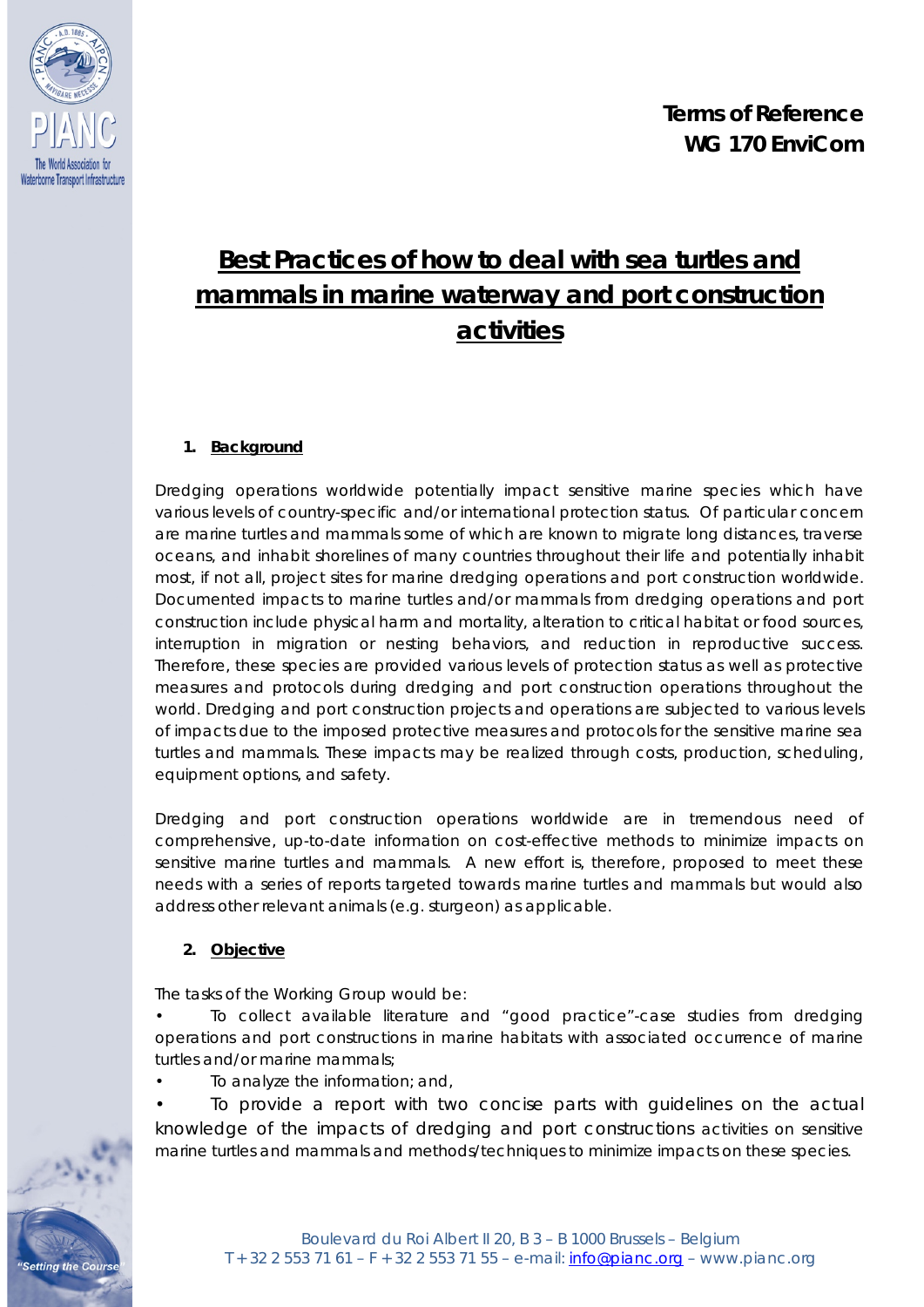

# **Best Practices of how to deal with sea turtles and mammals in marine waterway and port construction activities**

# **1. Background**

Dredging operations worldwide potentially impact sensitive marine species which have various levels of country-specific and/or international protection status. Of particular concern are marine turtles and mammals some of which are known to migrate long distances, traverse oceans, and inhabit shorelines of many countries throughout their life and potentially inhabit most, if not all, project sites for marine dredging operations and port construction worldwide. Documented impacts to marine turtles and/or mammals from dredging operations and port construction include physical harm and mortality, alteration to critical habitat or food sources, interruption in migration or nesting behaviors, and reduction in reproductive success. Therefore, these species are provided various levels of protection status as well as protective measures and protocols during dredging and port construction operations throughout the world. Dredging and port construction projects and operations are subjected to various levels of impacts due to the imposed protective measures and protocols for the sensitive marine sea turtles and mammals. These impacts may be realized through costs, production, scheduling, equipment options, and safety.

Dredging and port construction operations worldwide are in tremendous need of comprehensive, up-to-date information on cost-effective methods to minimize impacts on sensitive marine turtles and mammals. A new effort is, therefore, proposed to meet these needs with a series of reports targeted towards marine turtles and mammals but would also address other relevant animals (e.g. sturgeon) as applicable.

## **2. Objective**

**Setting the Cours** 

The tasks of the Working Group would be:

• To collect available literature and "good practice"-case studies from dredging operations and port constructions in marine habitats with associated occurrence of marine turtles and/or marine mammals;

• To analyze the information; and,

To provide a report with two concise parts with guidelines on the actual knowledge of the impacts of dredging and port constructions activities on sensitive marine turtles and mammals and methods/techniques to minimize impacts on these species.

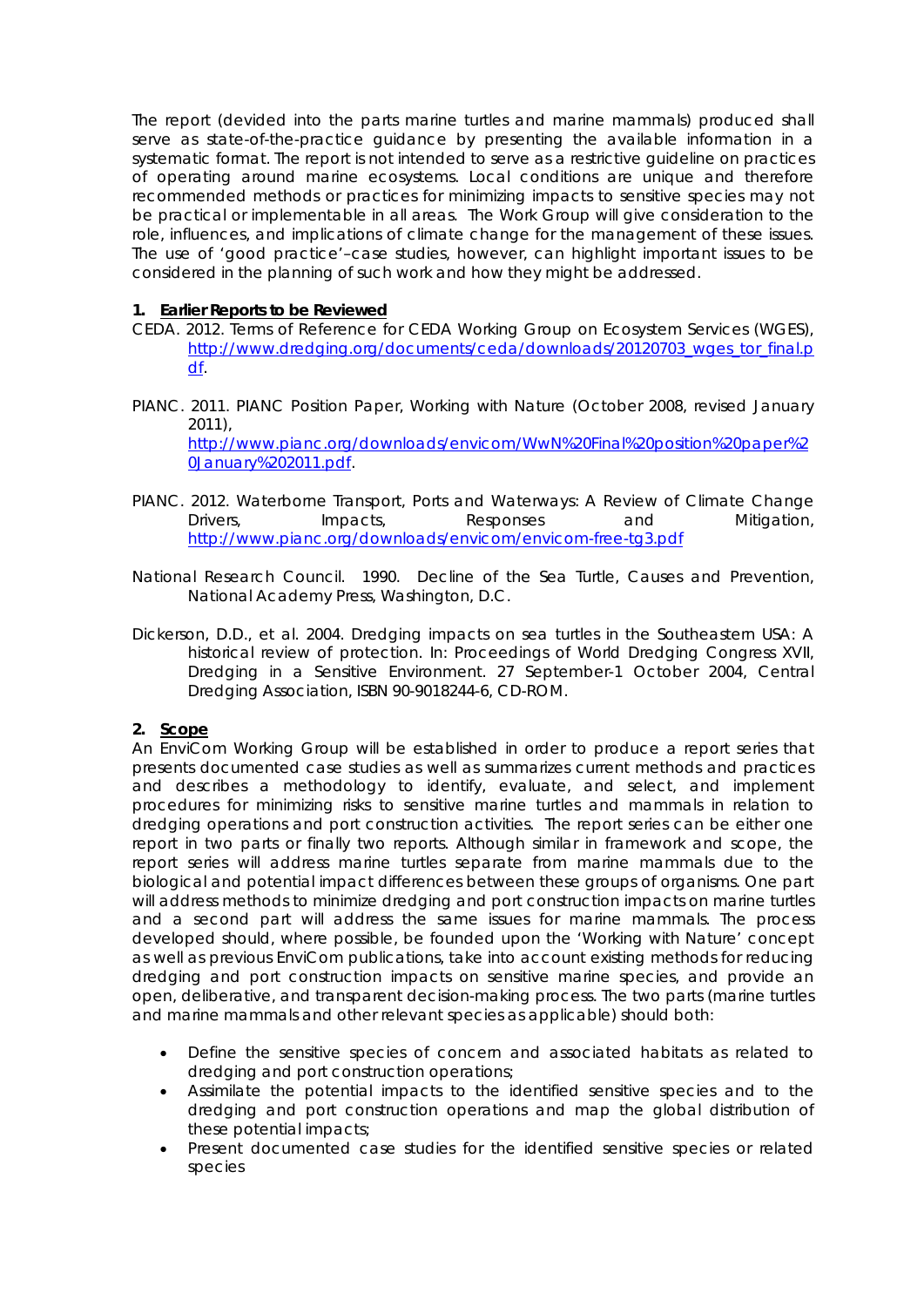The report (devided into the parts marine turtles and marine mammals) produced shall serve as state-of-the-practice guidance by presenting the available information in a systematic format. The report is not intended to *serve as a restrictive guideline on practices of operating around marine* ecosystems. Local conditions are unique and therefore recommended methods or practices for minimizing impacts to sensitive species may not be practical or implementable in all areas. The Work Group will give consideration to the role, influences, and implications of climate change for the management of these issues. The use of 'good practice'–case studies, however, can highlight important issues to be considered in the planning of such work and how they might be addressed.

#### **1. Earlier Reports to be Reviewed**

- CEDA. 2012. Terms of Reference for CEDA Working Group on Ecosystem Services (WGES), [http://www.dredging.org/documents/ceda/downloads/20120703\\_wges\\_tor\\_final.p](http://www.dredging.org/documents/ceda/downloads/20120703_wges_tor_final.pdf) [df.](http://www.dredging.org/documents/ceda/downloads/20120703_wges_tor_final.pdf)
- PIANC. 2011. PIANC Position Paper, *Working with Nature (October 2008, revised January 2011),*  [http://www.pianc.org/downloads/envicom/WwN%20Final%20position%20paper%2](http://www.pianc.org/downloads/envicom/WwN%20Final%20position%20paper%20January%202011.pdf) [0January%202011.pdf.](http://www.pianc.org/downloads/envicom/WwN%20Final%20position%20paper%20January%202011.pdf)
- *PIANC. 2012. Waterborne Transport, Ports and Waterways: A Review of Climate Change Drivers, Impacts, Responses and Mitigation*, <http://www.pianc.org/downloads/envicom/envicom-free-tg3.pdf>
- *National Research Council. 1990. Decline of the Sea Turtle, Causes and Prevention, National Academy Press, Washington, D.C.*
- *Dickerson, D.D., et al. 2004. Dredging impacts on sea turtles in the Southeastern USA: A historical review of protection. In: Proceedings of World Dredging Congress XVII, Dredging in a Sensitive Environment. 27 September-1 October 2004, Central Dredging Association, ISBN 90-9018244-6, CD-ROM.*

#### **2. Scope**

An EnviCom Working Group will be established in order to produce a report series that presents documented case studies as well as summarizes current methods and practices and describes a methodology to identify, evaluate, and select, and implement procedures for minimizing risks to sensitive marine turtles and mammals in relation to dredging operations and port construction activities. The report series can be either one report in two parts or finally two reports. Although similar in framework and scope, the report series will address marine turtles separate from marine mammals due to the biological and potential impact differences between these groups of organisms. One part will address methods to minimize dredging and port construction impacts on marine turtles and a second part will address the same issues for marine mammals. The process developed should, where possible, be founded upon the 'Working with Nature' concept as well as previous EnviCom publications, take into account existing methods for reducing dredging and port construction impacts on sensitive marine species, and provide an open, deliberative, and transparent decision-making process. The two parts (marine turtles and marine mammals and other relevant species as applicable) should both:

- Define the sensitive species of concern and associated habitats as related to dredging and port construction operations;
- Assimilate the potential impacts to the identified sensitive species and to the dredging and port construction operations and map the global distribution of these potential impacts;
- Present documented case studies for the identified sensitive species or related species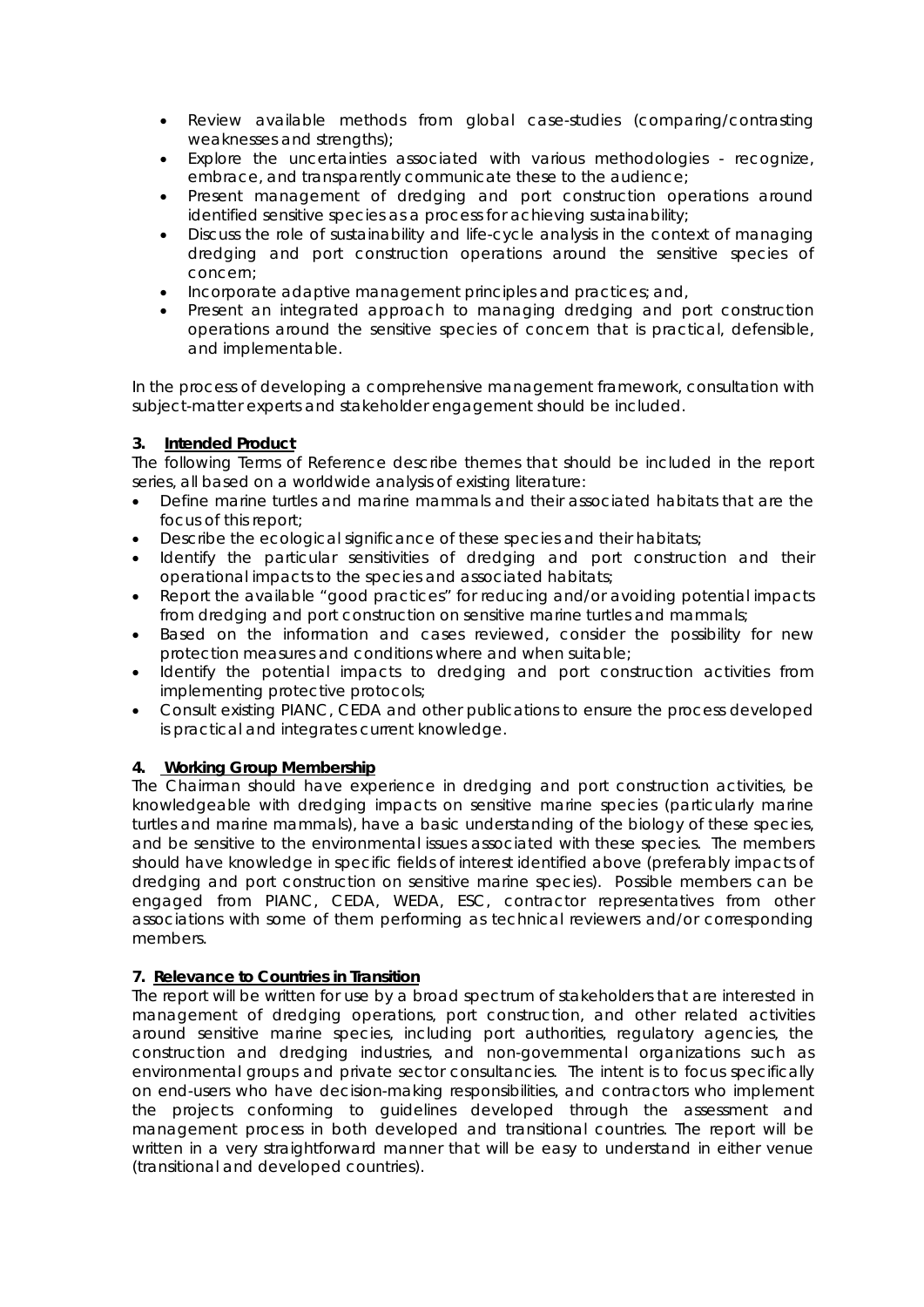- Review available methods from global case-studies (comparing/contrasting weaknesses and strengths);
- Explore the uncertainties associated with various methodologies recognize, embrace, and transparently communicate these to the audience;
- Present management of dredging and port construction operations around identified sensitive species as a process for achieving sustainability;
- Discuss the role of sustainability and life-cycle analysis in the context of managing dredging and port construction operations around the sensitive species of concern;
- Incorporate adaptive management principles and practices; and,
- Present an integrated approach to managing dredging and port construction operations around the sensitive species of concern that is practical, defensible, and implementable.

In the process of developing a comprehensive management framework, consultation with subject-matter experts and stakeholder engagement should be included.

# **3. Intended Product**

The following Terms of Reference describe themes that should be included in the report series, all based on a worldwide analysis of existing literature:

- Define marine turtles and marine mammals and their associated habitats that are the focus of this report;
- Describe the ecological significance of these species and their habitats;
- Identify the particular sensitivities of dredging and port construction and their operational impacts to the species and associated habitats;
- Report the available "good practices" for reducing and/or avoiding potential impacts from dredging and port construction on sensitive marine turtles and mammals;
- Based on the information and cases reviewed, consider the possibility for new protection measures and conditions where and when suitable;
- Identify the potential impacts to dredging and port construction activities from implementing protective protocols;
- Consult existing PIANC, CEDA and other publications to ensure the process developed is practical and integrates current knowledge.

## **4. Working Group Membership**

The Chairman should have experience in dredging and port construction activities, be knowledgeable with dredging impacts on sensitive marine species (particularly marine turtles and marine mammals), have a basic understanding of the biology of these species, and be sensitive to the environmental issues associated with these species. The members should have knowledge in specific fields of interest identified above (preferably impacts of dredging and port construction on sensitive marine species). Possible members can be engaged from PIANC, CEDA, WEDA, ESC, contractor representatives from other associations with some of them performing as technical reviewers and/or corresponding members.

## **7. Relevance to Countries in Transition**

The report will be written for use by a broad spectrum of stakeholders that are interested in management of dredging operations, port construction, and other related activities around sensitive marine species, including port authorities, regulatory agencies, the construction and dredging industries, and non-governmental organizations such as environmental groups and private sector consultancies. The intent is to focus specifically on end-users who have decision-making responsibilities, and contractors who implement the projects conforming to guidelines developed through the assessment and management process in both developed and transitional countries. The report will be written in a very straightforward manner that will be easy to understand in either venue (transitional and developed countries).